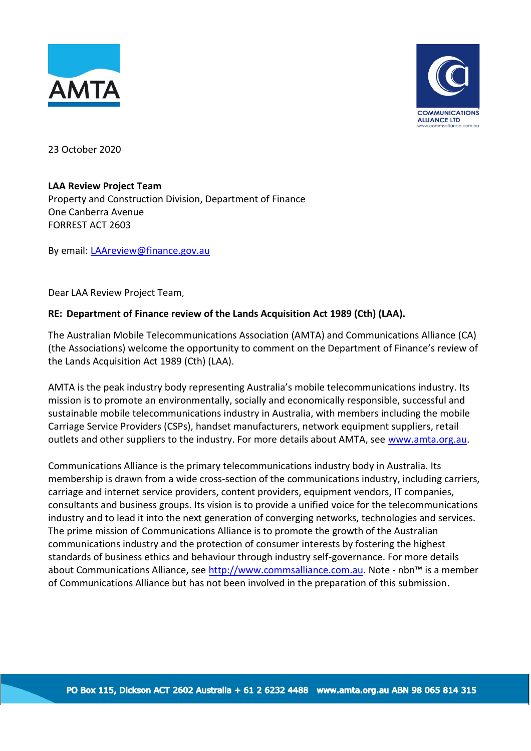



23 October 2020

## **LAA Review Project Team**

Property and Construction Division, Department of Finance One Canberra Avenue FORREST ACT 2603

By email: [LAAreview@finance.gov.au](mailto:LAAreview@finance.gov.au)

Dear LAA Review Project Team,

## **RE: Department of Finance review of the Lands Acquisition Act 1989 (Cth) (LAA).**

The Australian Mobile Telecommunications Association (AMTA) and Communications Alliance (CA) (the Associations) welcome the opportunity to comment on the Department of Finance's review of the Lands Acquisition Act 1989 (Cth) (LAA).

AMTA is the peak industry body representing Australia's mobile telecommunications industry. Its mission is to promote an environmentally, socially and economically responsible, successful and sustainable mobile telecommunications industry in Australia, with members including the mobile Carriage Service Providers (CSPs), handset manufacturers, network equipment suppliers, retail outlets and other suppliers to the industry. For more details about AMTA, see [www.amta.org.au.](http://www.amta.org.au/)

Communications Alliance is the primary telecommunications industry body in Australia. Its membership is drawn from a wide cross-section of the communications industry, including carriers, carriage and internet service providers, content providers, equipment vendors, IT companies, consultants and business groups. Its vision is to provide a unified voice for the telecommunications industry and to lead it into the next generation of converging networks, technologies and services. The prime mission of Communications Alliance is to promote the growth of the Australian communications industry and the protection of consumer interests by fostering the highest standards of business ethics and behaviour through industry self-governance. For more details about Communications Alliance, see [http://www.commsalliance.com.au.](http://www.commsalliance.com.au/) Note - nbn<sup>™</sup> is a member of Communications Alliance but has not been involved in the preparation of this submission.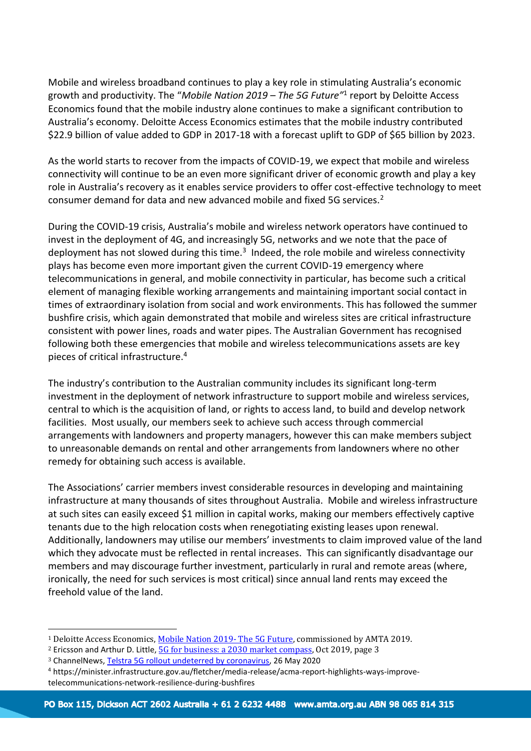Mobile and wireless broadband continues to play a key role in stimulating Australia's economic growth and productivity. The "*Mobile Nation 2019 – The 5G Future"* 1 report by Deloitte Access Economics found that the mobile industry alone continues to make a significant contribution to Australia's economy. Deloitte Access Economics estimates that the mobile industry contributed \$22.9 billion of value added to GDP in 2017-18 with a forecast uplift to GDP of \$65 billion by 2023.

As the world starts to recover from the impacts of COVID-19, we expect that mobile and wireless connectivity will continue to be an even more significant driver of economic growth and play a key role in Australia's recovery as it enables service providers to offer cost-effective technology to meet consumer demand for data and new advanced mobile and fixed 5G services.<sup>2</sup>

During the COVID-19 crisis, Australia's mobile and wireless network operators have continued to invest in the deployment of 4G, and increasingly 5G, networks and we note that the pace of deployment has not slowed during this time.<sup>3</sup> Indeed, the role mobile and wireless connectivity plays has become even more important given the current COVID-19 emergency where telecommunications in general, and mobile connectivity in particular, has become such a critical element of managing flexible working arrangements and maintaining important social contact in times of extraordinary isolation from social and work environments. This has followed the summer bushfire crisis, which again demonstrated that mobile and wireless sites are critical infrastructure consistent with power lines, roads and water pipes. The Australian Government has recognised following both these emergencies that mobile and wireless telecommunications assets are key pieces of critical infrastructure.<sup>4</sup>

The industry's contribution to the Australian community includes its significant long-term investment in the deployment of network infrastructure to support mobile and wireless services, central to which is the acquisition of land, or rights to access land, to build and develop network facilities. Most usually, our members seek to achieve such access through commercial arrangements with landowners and property managers, however this can make members subject to unreasonable demands on rental and other arrangements from landowners where no other remedy for obtaining such access is available.

The Associations' carrier members invest considerable resources in developing and maintaining infrastructure at many thousands of sites throughout Australia. Mobile and wireless infrastructure at such sites can easily exceed \$1 million in capital works, making our members effectively captive tenants due to the high relocation costs when renegotiating existing leases upon renewal. Additionally, landowners may utilise our members' investments to claim improved value of the land which they advocate must be reflected in rental increases. This can significantly disadvantage our members and may discourage further investment, particularly in rural and remote areas (where, ironically, the need for such services is most critical) since annual land rents may exceed the freehold value of the land.

<sup>&</sup>lt;sup>1</sup> Deloitte Access Economics, *Mobile Nation 2019- The 5G Future*, commissioned by AMTA 2019.

<sup>&</sup>lt;sup>2</sup> Ericsson and Arthur D. Little, **5G** for business: a 2030 market compass, Oct 2019, page 3

<sup>3</sup> ChannelNews, [Telstra 5G rollout undeterred by coronavirus,](https://www.channelnews.com.au/telstra-5g-rollout-undeterred-by-coronavirus/) 26 May 2020

<sup>4</sup> https://minister.infrastructure.gov.au/fletcher/media-release/acma-report-highlights-ways-improvetelecommunications-network-resilience-during-bushfires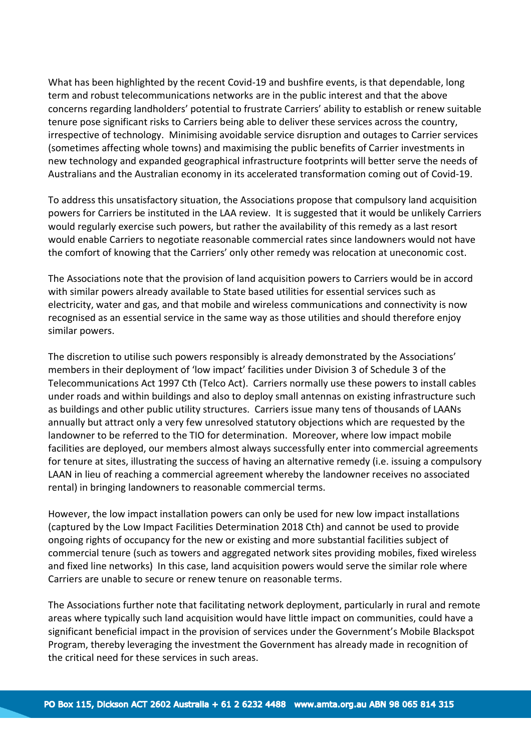What has been highlighted by the recent Covid-19 and bushfire events, is that dependable, long term and robust telecommunications networks are in the public interest and that the above concerns regarding landholders' potential to frustrate Carriers' ability to establish or renew suitable tenure pose significant risks to Carriers being able to deliver these services across the country, irrespective of technology. Minimising avoidable service disruption and outages to Carrier services (sometimes affecting whole towns) and maximising the public benefits of Carrier investments in new technology and expanded geographical infrastructure footprints will better serve the needs of Australians and the Australian economy in its accelerated transformation coming out of Covid-19.

To address this unsatisfactory situation, the Associations propose that compulsory land acquisition powers for Carriers be instituted in the LAA review. It is suggested that it would be unlikely Carriers would regularly exercise such powers, but rather the availability of this remedy as a last resort would enable Carriers to negotiate reasonable commercial rates since landowners would not have the comfort of knowing that the Carriers' only other remedy was relocation at uneconomic cost.

The Associations note that the provision of land acquisition powers to Carriers would be in accord with similar powers already available to State based utilities for essential services such as electricity, water and gas, and that mobile and wireless communications and connectivity is now recognised as an essential service in the same way as those utilities and should therefore enjoy similar powers.

The discretion to utilise such powers responsibly is already demonstrated by the Associations' members in their deployment of 'low impact' facilities under Division 3 of Schedule 3 of the Telecommunications Act 1997 Cth (Telco Act). Carriers normally use these powers to install cables under roads and within buildings and also to deploy small antennas on existing infrastructure such as buildings and other public utility structures. Carriers issue many tens of thousands of LAANs annually but attract only a very few unresolved statutory objections which are requested by the landowner to be referred to the TIO for determination. Moreover, where low impact mobile facilities are deployed, our members almost always successfully enter into commercial agreements for tenure at sites, illustrating the success of having an alternative remedy (i.e. issuing a compulsory LAAN in lieu of reaching a commercial agreement whereby the landowner receives no associated rental) in bringing landowners to reasonable commercial terms.

However, the low impact installation powers can only be used for new low impact installations (captured by the Low Impact Facilities Determination 2018 Cth) and cannot be used to provide ongoing rights of occupancy for the new or existing and more substantial facilities subject of commercial tenure (such as towers and aggregated network sites providing mobiles, fixed wireless and fixed line networks) In this case, land acquisition powers would serve the similar role where Carriers are unable to secure or renew tenure on reasonable terms.

The Associations further note that facilitating network deployment, particularly in rural and remote areas where typically such land acquisition would have little impact on communities, could have a significant beneficial impact in the provision of services under the Government's Mobile Blackspot Program, thereby leveraging the investment the Government has already made in recognition of the critical need for these services in such areas.